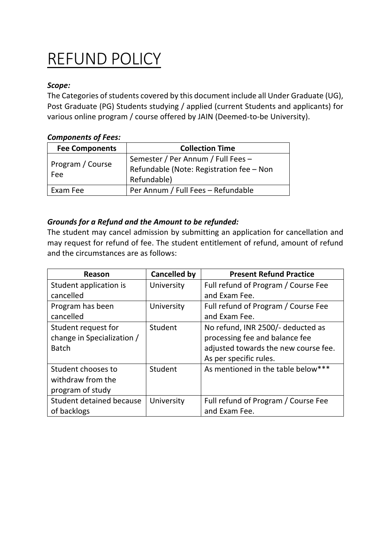## REFUND POLICY

## *Scope:*

The Categories of students covered by this document include all Under Graduate (UG), Post Graduate (PG) Students studying / applied (current Students and applicants) for various online program / course offered by JAIN (Deemed-to-be University).

## *Components of Fees:*

| <b>Fee Components</b>   | <b>Collection Time</b>                   |
|-------------------------|------------------------------------------|
| Program / Course<br>Fee | Semester / Per Annum / Full Fees -       |
|                         | Refundable (Note: Registration fee - Non |
|                         | Refundable)                              |
| Exam Fee                | Per Annum / Full Fees - Refundable       |

## *Grounds for a Refund and the Amount to be refunded:*

The student may cancel admission by submitting an application for cancellation and may request for refund of fee. The student entitlement of refund, amount of refund and the circumstances are as follows:

| Reason                     | <b>Cancelled by</b> | <b>Present Refund Practice</b>       |
|----------------------------|---------------------|--------------------------------------|
| Student application is     | University          | Full refund of Program / Course Fee  |
| cancelled                  |                     | and Exam Fee.                        |
| Program has been           | University          | Full refund of Program / Course Fee  |
| cancelled                  |                     | and Exam Fee.                        |
| Student request for        | Student             | No refund, INR 2500/- deducted as    |
| change in Specialization / |                     | processing fee and balance fee       |
| <b>Batch</b>               |                     | adjusted towards the new course fee. |
|                            |                     | As per specific rules.               |
| Student chooses to         | Student             | As mentioned in the table below***   |
| withdraw from the          |                     |                                      |
| program of study           |                     |                                      |
| Student detained because   | University          | Full refund of Program / Course Fee  |
| of backlogs                |                     | and Exam Fee.                        |